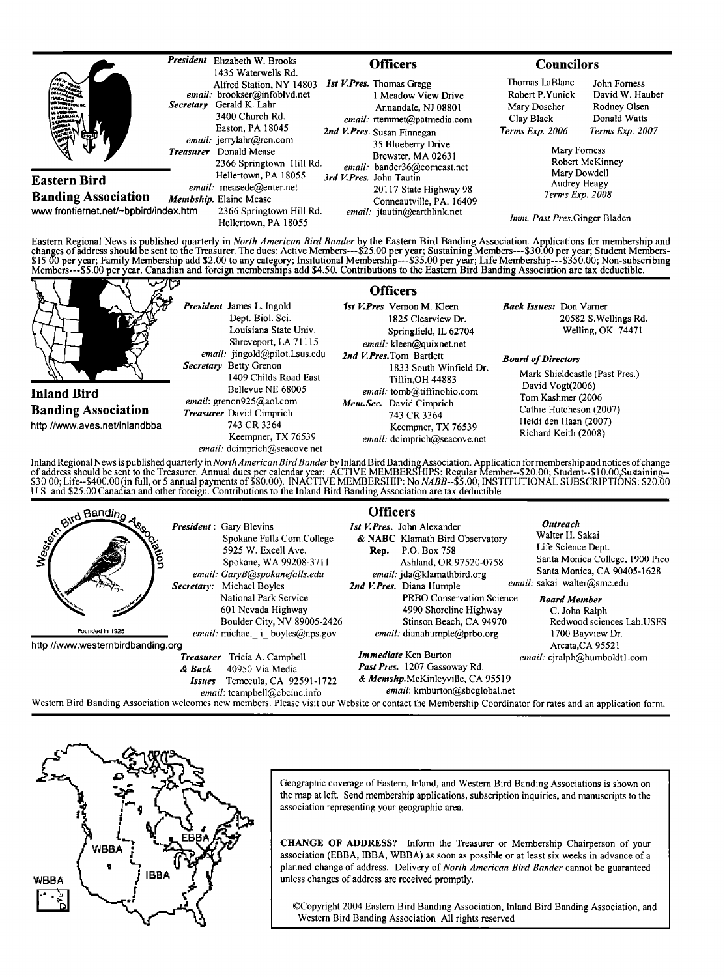| <b>AN SHANGTON BE</b><br><b>VIRGINIA</b><br>W VERSINIA<br><b>Alliance</b><br>िजी |                  | <b>President</b> Elizabeth W. Brooks<br>1435 Waterwells Rd.                                                                    | <b>Officers</b> |                                                                                                                                                                                                                        | <b>Councilors</b>                                                                  |                                                                                    |
|----------------------------------------------------------------------------------|------------------|--------------------------------------------------------------------------------------------------------------------------------|-----------------|------------------------------------------------------------------------------------------------------------------------------------------------------------------------------------------------------------------------|------------------------------------------------------------------------------------|------------------------------------------------------------------------------------|
|                                                                                  | <b>Secretary</b> | Alfred Station, NY 14803<br>email: brookser@infoblvd.net<br>Gerald K. Lahr<br>3400 Church Rd.<br>Easton, PA 18045              |                 | 1st V. Pres. Thomas Greeg<br>1 Meadow View Drive<br>Annandale, NJ 08801<br>email: rtemmet@patmedia.com                                                                                                                 | Thomas LaBlanc<br>Robert P.Yunick<br>Mary Doscher<br>Clay Black<br>Terms Exp. 2006 | John Forness<br>David W. Hauber<br>Rodney Olsen<br>Donald Watts<br>Terms Exp. 2007 |
|                                                                                  | <b>Treasurer</b> | email: jerrylahr@rcn.com<br>Donald Mease<br>2366 Springtown Hill Rd.                                                           |                 | 2nd V.Pres. Susan Finnegan<br>35 Blueberry Drive<br>Brewster, MA 02631<br>email: bander36@comcast.net<br>3rd V.Pres. John Tautin<br>20117 State Highway 98<br>Conneautville, PA. 16409<br>email: jtautin@earthlink.net | Mary Forness<br>Robert McKinney<br>Mary Dowdell<br>Audrey Heagy<br>Terms Exp. 2008 |                                                                                    |
| Eastern Bird<br><b>Banding Association</b>                                       |                  | Hellertown, PA 18055<br>email: measede@enter.net<br>Membship. Elaine Mease<br>2366 Springtown Hill Rd.<br>Hellertown, PA 18055 |                 |                                                                                                                                                                                                                        |                                                                                    |                                                                                    |
| www frontiernet.net/~bpbird/index.htm                                            |                  |                                                                                                                                |                 |                                                                                                                                                                                                                        | Imm. Past Pres. Ginger Bladen                                                      |                                                                                    |

Eastern Regional News is published quarterly in *North American Bird Bander* by the Eastern Bird Banding Association. Applications for membership and<br>changes of address should be sent to the Treasurer. The dues: Active Mem Members---\$5.00 per year. Canadian and foreign memberships add \$4.50. Contributions to the Eastern Bird Banding Association are tax deductible.



Inland Regional News is published quarterly in *North American Bird Bander* by Inland Bird Banding Association. Application for membership and notices of change<br>of address should be sent to the Treasurer. Annual dues per c **U S and \$25.00 Canadian and other foreign. Contributions to the Inland Bird Banding Association are tax deductible.** 





Geographic coverage of Eastern, Inland, and Western Bird Banding Associations is shown on **the map at left. Send membership aplications, subscription inquiries, and manuscripts to the association representing your geographic area.** 

**CHANGE OF ADDRESS? Inform the Treasurer or Membership Chairperson of your association (EBBA, IBBA, WBBA) as soon as possible or at least six weeks in advance of a planned change of address. Delivery of North American Bird Bander cannot be guaranteed unless changes of address are received promptly.** 

**¸Copyright 2004 Eastem Bird Banding Association, Inland Bird Banding Association, and Western Bird Banding Association All rights reserved**